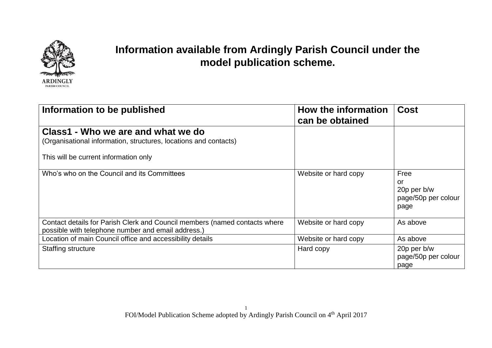

## **Information available from Ardingly Parish Council under the model publication scheme.**

| Information to be published                                                                                                      | How the information<br>can be obtained | <b>Cost</b>                                              |
|----------------------------------------------------------------------------------------------------------------------------------|----------------------------------------|----------------------------------------------------------|
| Class1 - Who we are and what we do<br>(Organisational information, structures, locations and contacts)                           |                                        |                                                          |
| This will be current information only                                                                                            |                                        |                                                          |
| Who's who on the Council and its Committees                                                                                      | Website or hard copy                   | Free<br>or<br>20p per b/w<br>page/50p per colour<br>page |
| Contact details for Parish Clerk and Council members (named contacts where<br>possible with telephone number and email address.) | Website or hard copy                   | As above                                                 |
| Location of main Council office and accessibility details                                                                        | Website or hard copy                   | As above                                                 |
| <b>Staffing structure</b>                                                                                                        | Hard copy                              | 20p per b/w<br>page/50p per colour<br>page               |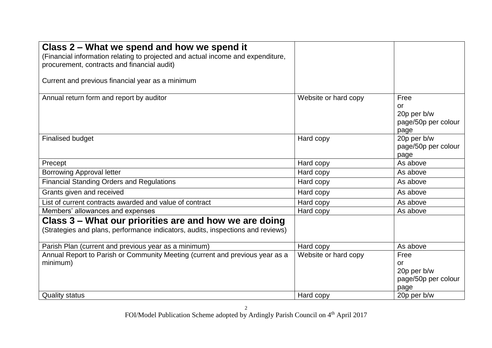| Class 2 – What we spend and how we spend it<br>(Financial information relating to projected and actual income and expenditure,<br>procurement, contracts and financial audit) |                      |                                                                 |
|-------------------------------------------------------------------------------------------------------------------------------------------------------------------------------|----------------------|-----------------------------------------------------------------|
| Current and previous financial year as a minimum                                                                                                                              |                      |                                                                 |
| Annual return form and report by auditor                                                                                                                                      | Website or hard copy | Free<br><b>or</b><br>20p per b/w<br>page/50p per colour<br>page |
| <b>Finalised budget</b>                                                                                                                                                       | Hard copy            | 20p per b/w<br>page/50p per colour<br>page                      |
| Precept                                                                                                                                                                       | Hard copy            | As above                                                        |
| <b>Borrowing Approval letter</b>                                                                                                                                              | Hard copy            | As above                                                        |
| <b>Financial Standing Orders and Regulations</b>                                                                                                                              | Hard copy            | As above                                                        |
| Grants given and received                                                                                                                                                     | Hard copy            | As above                                                        |
| List of current contracts awarded and value of contract                                                                                                                       | Hard copy            | As above                                                        |
| Members' allowances and expenses                                                                                                                                              | Hard copy            | As above                                                        |
| Class 3 – What our priorities are and how we are doing<br>(Strategies and plans, performance indicators, audits, inspections and reviews)                                     |                      |                                                                 |
| Parish Plan (current and previous year as a minimum)                                                                                                                          | Hard copy            | As above                                                        |
| Annual Report to Parish or Community Meeting (current and previous year as a                                                                                                  | Website or hard copy | Free                                                            |
| minimum)                                                                                                                                                                      |                      | or                                                              |
|                                                                                                                                                                               |                      | 20p per b/w                                                     |
|                                                                                                                                                                               |                      | page/50p per colour<br>page                                     |
| <b>Quality status</b>                                                                                                                                                         | Hard copy            | 20p per b/w                                                     |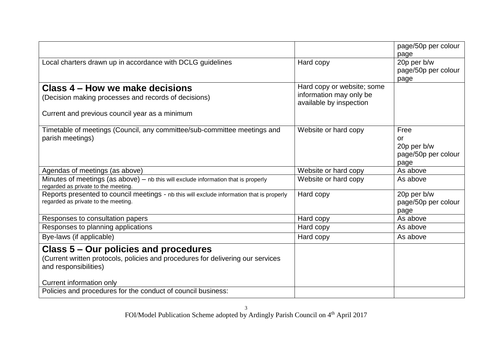|                                                                                                                                                                               |                                                    | page/50p per colour<br>page                              |
|-------------------------------------------------------------------------------------------------------------------------------------------------------------------------------|----------------------------------------------------|----------------------------------------------------------|
| Local charters drawn up in accordance with DCLG guidelines                                                                                                                    | Hard copy                                          | 20p per b/w<br>page/50p per colour<br>page               |
| Class 4 – How we make decisions                                                                                                                                               | Hard copy or website; some                         |                                                          |
| (Decision making processes and records of decisions)                                                                                                                          | information may only be<br>available by inspection |                                                          |
| Current and previous council year as a minimum                                                                                                                                |                                                    |                                                          |
| Timetable of meetings (Council, any committee/sub-committee meetings and<br>parish meetings)                                                                                  | Website or hard copy                               | Free<br>or<br>20p per b/w<br>page/50p per colour<br>page |
| Agendas of meetings (as above)                                                                                                                                                | Website or hard copy                               | As above                                                 |
| Minutes of meetings (as above) $-$ nb this will exclude information that is properly<br>regarded as private to the meeting.                                                   | Website or hard copy                               | As above                                                 |
| Reports presented to council meetings - nb this will exclude information that is properly<br>regarded as private to the meeting.                                              | Hard copy                                          | 20p per b/w<br>page/50p per colour<br>page               |
| Responses to consultation papers                                                                                                                                              | Hard copy                                          | As above                                                 |
| Responses to planning applications                                                                                                                                            | Hard copy                                          | As above                                                 |
| Bye-laws (if applicable)                                                                                                                                                      | Hard copy                                          | As above                                                 |
| Class 5 - Our policies and procedures<br>(Current written protocols, policies and procedures for delivering our services<br>and responsibilities)<br>Current information only |                                                    |                                                          |
| Policies and procedures for the conduct of council business:                                                                                                                  |                                                    |                                                          |
|                                                                                                                                                                               |                                                    |                                                          |

FOI/Model Publication Scheme adopted by Ardingly Parish Council on 4<sup>th</sup> April 2017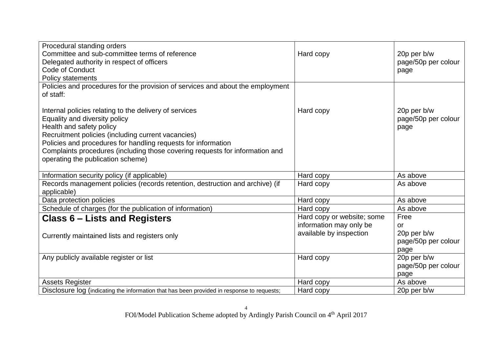| Procedural standing orders<br>Committee and sub-committee terms of reference<br>Delegated authority in respect of officers<br><b>Code of Conduct</b><br>Policy statements                                                                                                                                                                                       | Hard copy                  | 20p per b/w<br>page/50p per colour<br>page |
|-----------------------------------------------------------------------------------------------------------------------------------------------------------------------------------------------------------------------------------------------------------------------------------------------------------------------------------------------------------------|----------------------------|--------------------------------------------|
| Policies and procedures for the provision of services and about the employment                                                                                                                                                                                                                                                                                  |                            |                                            |
| of staff:                                                                                                                                                                                                                                                                                                                                                       |                            |                                            |
| Internal policies relating to the delivery of services<br>Equality and diversity policy<br>Health and safety policy<br>Recruitment policies (including current vacancies)<br>Policies and procedures for handling requests for information<br>Complaints procedures (including those covering requests for information and<br>operating the publication scheme) | Hard copy                  | 20p per b/w<br>page/50p per colour<br>page |
| Information security policy (if applicable)                                                                                                                                                                                                                                                                                                                     | Hard copy                  | As above                                   |
| Records management policies (records retention, destruction and archive) (if<br>applicable)                                                                                                                                                                                                                                                                     | Hard copy                  | As above                                   |
| Data protection policies                                                                                                                                                                                                                                                                                                                                        | Hard copy                  | As above                                   |
| Schedule of charges (for the publication of information)                                                                                                                                                                                                                                                                                                        | Hard copy                  | As above                                   |
| Class 6 – Lists and Registers                                                                                                                                                                                                                                                                                                                                   | Hard copy or website; some | Free                                       |
|                                                                                                                                                                                                                                                                                                                                                                 | information may only be    | <b>or</b>                                  |
| Currently maintained lists and registers only                                                                                                                                                                                                                                                                                                                   | available by inspection    | 20p per b/w                                |
|                                                                                                                                                                                                                                                                                                                                                                 |                            | page/50p per colour                        |
|                                                                                                                                                                                                                                                                                                                                                                 |                            | page                                       |
| Any publicly available register or list                                                                                                                                                                                                                                                                                                                         | Hard copy                  | 20p per b/w                                |
|                                                                                                                                                                                                                                                                                                                                                                 |                            | page/50p per colour                        |
|                                                                                                                                                                                                                                                                                                                                                                 |                            | page                                       |
| <b>Assets Register</b>                                                                                                                                                                                                                                                                                                                                          | Hard copy                  | As above                                   |
| Disclosure log (indicating the information that has been provided in response to requests;                                                                                                                                                                                                                                                                      | Hard copy                  | 20p per b/w                                |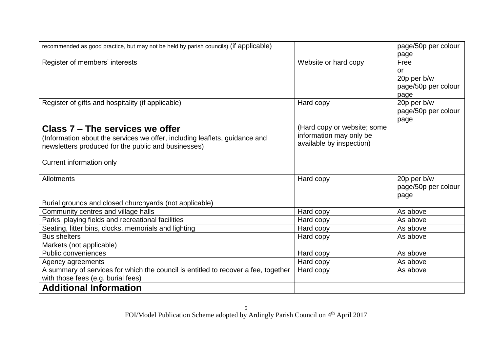| recommended as good practice, but may not be held by parish councils) (if applicable) |                             | page/50p per colour |
|---------------------------------------------------------------------------------------|-----------------------------|---------------------|
|                                                                                       |                             | page                |
| Register of members' interests                                                        | Website or hard copy        | Free                |
|                                                                                       |                             | <b>or</b>           |
|                                                                                       |                             | 20p per b/w         |
|                                                                                       |                             | page/50p per colour |
|                                                                                       |                             | page                |
| Register of gifts and hospitality (if applicable)                                     | Hard copy                   | 20p per b/w         |
|                                                                                       |                             | page/50p per colour |
|                                                                                       |                             | page                |
| Class 7 – The services we offer                                                       | (Hard copy or website; some |                     |
| (Information about the services we offer, including leaflets, guidance and            | information may only be     |                     |
| newsletters produced for the public and businesses)                                   | available by inspection)    |                     |
|                                                                                       |                             |                     |
| Current information only                                                              |                             |                     |
|                                                                                       |                             |                     |
| <b>Allotments</b>                                                                     | Hard copy                   | 20p per b/w         |
|                                                                                       |                             | page/50p per colour |
|                                                                                       |                             | page                |
| Burial grounds and closed churchyards (not applicable)                                |                             |                     |
| Community centres and village halls                                                   | Hard copy                   | As above            |
| Parks, playing fields and recreational facilities                                     | Hard copy                   | As above            |
| Seating, litter bins, clocks, memorials and lighting                                  | Hard copy                   | As above            |
| <b>Bus shelters</b>                                                                   | Hard copy                   | As above            |
| Markets (not applicable)                                                              |                             |                     |
| Public conveniences                                                                   | Hard copy                   | As above            |
| Agency agreements                                                                     | Hard copy                   | As above            |
| A summary of services for which the council is entitled to recover a fee, together    | Hard copy                   | As above            |
| with those fees (e.g. burial fees)                                                    |                             |                     |
| <b>Additional Information</b>                                                         |                             |                     |